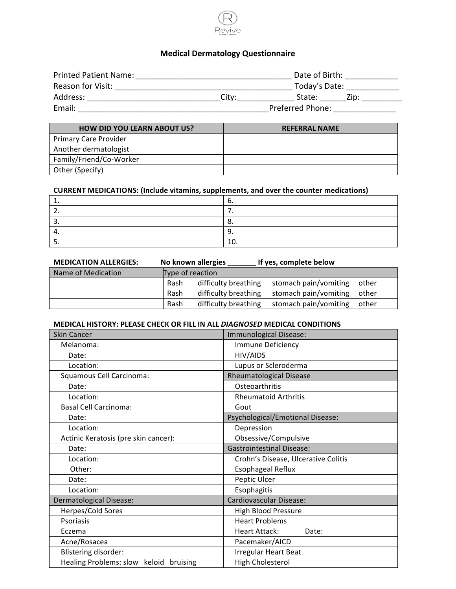

# **Medical Dermatology Questionnaire**

| <b>Printed Patient Name:</b> |       | Date of Birth:   |      |
|------------------------------|-------|------------------|------|
| Reason for Visit:            |       | Today's Date:    |      |
| Address:                     | City: | State:           | Zip: |
| Email:                       |       | Preferred Phone: |      |

| <b>HOW DID YOU LEARN ABOUT US?</b> | <b>REFERRAL NAME</b> |
|------------------------------------|----------------------|
| <b>Primary Care Provider</b>       |                      |
| Another dermatologist              |                      |
| Family/Friend/Co-Worker            |                      |
| Other (Specify)                    |                      |

## **CURRENT MEDICATIONS: (Include vitamins, supplements, and over the counter medications)**

|     | -- |
|-----|----|
| . . | -- |
|     | LU |

| <b>MEDICATION ALLERGIES:</b> |                  | No known allergies   | If yes, complete below |       |
|------------------------------|------------------|----------------------|------------------------|-------|
| Name of Medication           | Type of reaction |                      |                        |       |
|                              | Rash             | difficulty breathing | stomach pain/vomiting  | other |
|                              | Rash             | difficulty breathing | stomach pain/vomiting  | other |
|                              | Rash             | difficulty breathing | stomach pain/vomiting  | other |

## **MEDICAL HISTORY: PLEASE CHECK OR FILL IN ALL** *DIAGNOSED* **MEDICAL CONDITIONS**

| <b>Skin Cancer</b>                        | Immunological Disease:              |
|-------------------------------------------|-------------------------------------|
| Melanoma:                                 | Immune Deficiency                   |
| Date:                                     | HIV/AIDS                            |
| Location:                                 | Lupus or Scleroderma                |
| Squamous Cell Carcinoma:                  | <b>Rheumatological Disease</b>      |
| Date:                                     | Osteoarthritis                      |
| Location:                                 | <b>Rheumatoid Arthritis</b>         |
| <b>Basal Cell Carcinoma:</b>              | Gout                                |
| Date:                                     | Psychological/Emotional Disease:    |
| Location:                                 | Depression                          |
| Actinic Keratosis (pre skin cancer):      | Obsessive/Compulsive                |
| Date:                                     | <b>Gastrointestinal Disease:</b>    |
| Location:                                 | Crohn's Disease, Ulcerative Colitis |
| Other:                                    | <b>Esophageal Reflux</b>            |
| Date:                                     | Peptic Ulcer                        |
| Location:                                 | Esophagitis                         |
| <b>Dermatological Disease:</b>            | <b>Cardiovascular Disease:</b>      |
| Herpes/Cold Sores                         | High Blood Pressure                 |
| Psoriasis                                 | <b>Heart Problems</b>               |
| Eczema                                    | <b>Heart Attack:</b><br>Date:       |
| Acne/Rosacea                              | Pacemaker/AICD                      |
| <b>Blistering disorder:</b>               | <b>Irregular Heart Beat</b>         |
| Healing Problems: slow<br>keloid bruising | <b>High Cholesterol</b>             |